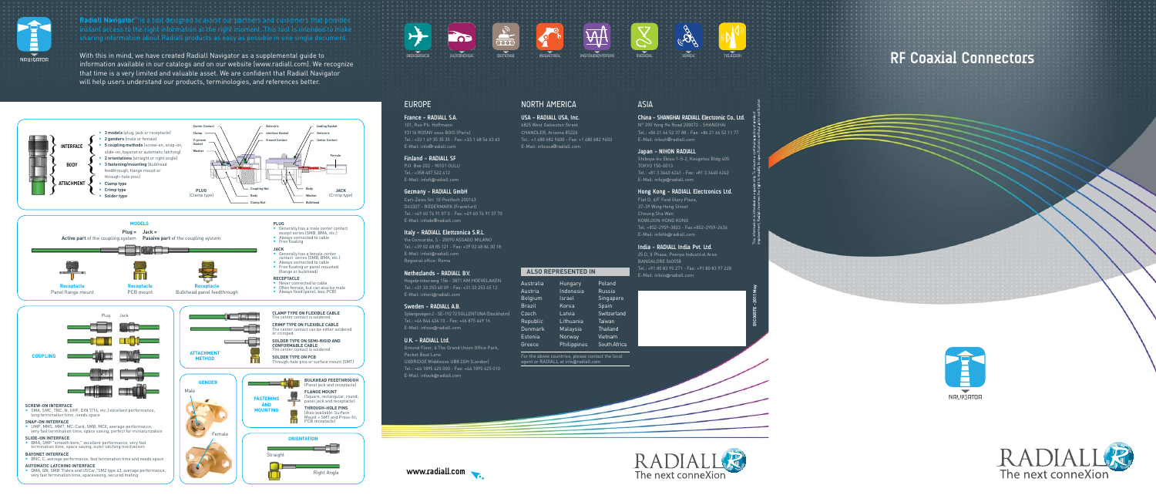

Radiall Navigator<sup>™</sup> is a tool designed to assist our partners and customers that provides

# **RF Coaxial Connectors**









**www.radiall.com**











# AEROspace AUTOMOTIVE DEFENSE INDUSTRIAL INSTRUMENTATION MEDICAL SPACE TELECOM



#### **France - RADIALL S.A.**

101, Rue Ph. Hoffmann 93116 ROSNY sous BOIS (Paris) Tel.: +33 1 49 35 35 35 - Fax: +33 1 48 54 63 63 E-Mail: info @radiall.com

#### **Finland - RADIALL SF**

P.O. Box 202 - 90101 OULU Tel.: +358 407 522 412 E-Mail: infofi @radiall.com

#### **Germany - RADIALL GmbH**

Carl-Zeiss Str. 10 Postfach 200143 D63307 - RÖDERMARK (Frankfurt) Tel.: +49 60 74 91 07 0 - Fax: +49 60 74 91 07 70 E-Mail: infode @radiall.com

#### **Italy - RADIALL Elettronica S.R.L.**

Via Concordia, 5 - 20090 ASSAGO MILANO Tel.: +39 02 48 85 121 - Fax: +39 02 48 84 30 18 E-Mail: infoit @radiall.com Regional office: Roma

#### **Netherlands - RADIALL B.V.**

Hogebrinkerweg 15b - 3871 KM HOEVELAKEN Tel.: +31 33 253 40 09 - Fax: +31 33 253 45 12 E-Mail: infonl @radiall.com

#### **Sweden - RADIALL A.B.**

Sjöängsvägen 2 - SE-192 72 SOLLENTUNA (Stockholm) Tel.: +46 844 434 10 - Fax: +46 875 449 16 E-Mail: infose @radiall.com

#### **U.K. - RADIALL Ltd.**

#### Greece Malaysia Norway Philippi

Ground Floor, 6 The Grand Union Office Park, Packet Boat Lane UXBRIDGE Middlesex UB8 2GH (London) Tel.: +44 1895 425 000 - Fax: +44 1895 425 010 E-Mail: infouk @radiall.com

# North AMERICA

**USA - RADIALL USA, Inc.** 6825 West Galveston Street CHANDLER, Arizona 85226 Tel.: +1 480 682 9400 - Fax: +1 480 682 9403 E-Mail: infousa @radiall.com

### ASIA

**China - SHANGHAI RADIALL Electronic Co., Ltd.** N° 390 Yong He Road 200072 - SHANGHAI Tel.: +86 21 66 52 37 88 - Fax: +86 21 66 52 11 77 E-Mail: infosh @radiall.com

#### **Japan - NIHON RADIALL**

Shibuya-ku Ebisu 1-5-2, Kougetsu Bldg 405 TOKYO 150-0013 Tel.: +81 3 3440 6241 - Fax: +81 3 3440 6242 E-Mail: infojp @radiall.com

#### **Hong Kong - RADIALL Electronics Ltd.**

Flat D, 6/F Ford Glory Plaza, 37-39 Wing Hong Street Cheung Sha Wan KOWLOON HONG KONG Tel: +852-2959-3833 - Fax:+852-2959-2636 E-Mail: infohk @radiall.com

#### **India - Radiall India Pvt. Ltd.**

25 D, II Phase, Peenya Industrial Area BANGALORE 560058 Tel.: +91 80 83 95 271 - Fax: +91 80 83 97 228 E-Mail: infoin @radiall.com

| Australia      | Hungary   |
|----------------|-----------|
| Austria        | Indonesia |
| Belgium        | Israel    |
| <b>Brazil</b>  | Korea     |
| Czech          | Latvia    |
| Republic       | Lithuania |
| <b>Denmark</b> | Malaysia  |
| Estonia        | Norway    |
|                |           |

Poland

|     | Russia       |  |  |
|-----|--------------|--|--|
|     | Singapore    |  |  |
|     | Spain        |  |  |
|     | Switzerland  |  |  |
|     | Taiwan       |  |  |
|     | Thailand     |  |  |
|     | Vietnam      |  |  |
| èS. | South Africa |  |  |
|     |              |  |  |

For the above countries, please contact the local agent or RADIALL at info @radiall.com

#### **ALSO REPRESENTED IN**

• SMA, SMC, TNC, N, UHF, DIN 7/16, etc.) excellent performance, long termination time, needs space

#### **SNAP-ON** II

- **bayonet INTERFACE**<br>• BNC, C, average performance, fast termination time and needs space
- **Automatic Latching Interface** QMA, QN, SMB "Fakra and USCar,"SMZ type 43, average performance, very fast termination time, spacesaving, secured mating

With this in mind, we have created Radiall Navigator as a supplemental guide to information available in our catalogs and on our website (www.radiall.com). We recognize that time is a very limited and valuable asset. We are confident that Radiall Navigator will help users understand our products, terminologies, and references better.



**Jack** • Generally has a female center contact series (SMB, BMA, etc.)

• Always connected to cable<br>• Free floating or panel mounted<br>(flange or bulkhead)

**RECEPTACLE**<br>• Never connected to cable<br>• Often female, but can also be male<br>• Always fixed (panel, box, PCB)





#### **SCREW-ON II**



- UMP, MMS, MMT, MC-Card, SMB, MCX, average performance, very fast termination time, space saving, perfect for miniaturization
- **SLIDE-ON** II • BMA, SMP "smooth bore," excellent performance, very fast termination time, space saving, outer latching mechanism